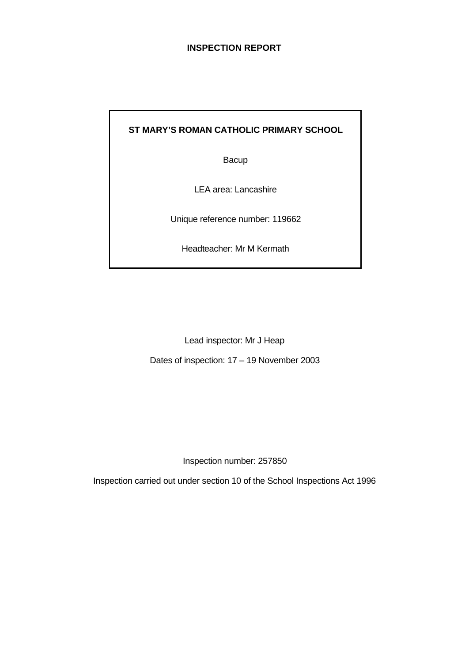# **INSPECTION REPORT**

# **ST MARY'S ROMAN CATHOLIC PRIMARY SCHOOL**

Bacup

LEA area: Lancashire

Unique reference number: 119662

Headteacher: Mr M Kermath

Lead inspector: Mr J Heap

Dates of inspection: 17 – 19 November 2003

Inspection number: 257850

Inspection carried out under section 10 of the School Inspections Act 1996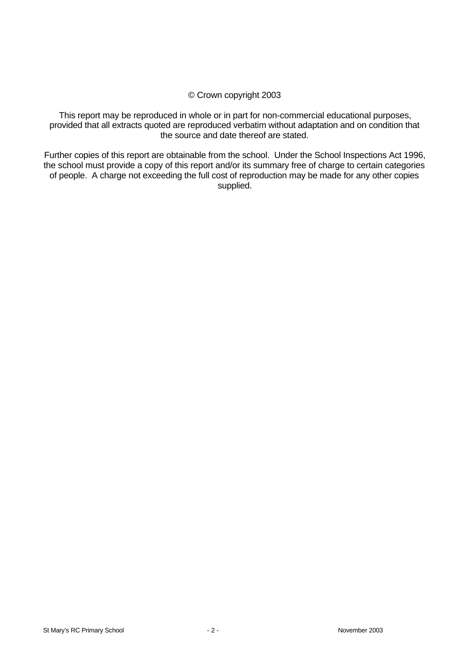#### © Crown copyright 2003

This report may be reproduced in whole or in part for non-commercial educational purposes, provided that all extracts quoted are reproduced verbatim without adaptation and on condition that the source and date thereof are stated.

Further copies of this report are obtainable from the school. Under the School Inspections Act 1996, the school must provide a copy of this report and/or its summary free of charge to certain categories of people. A charge not exceeding the full cost of reproduction may be made for any other copies supplied.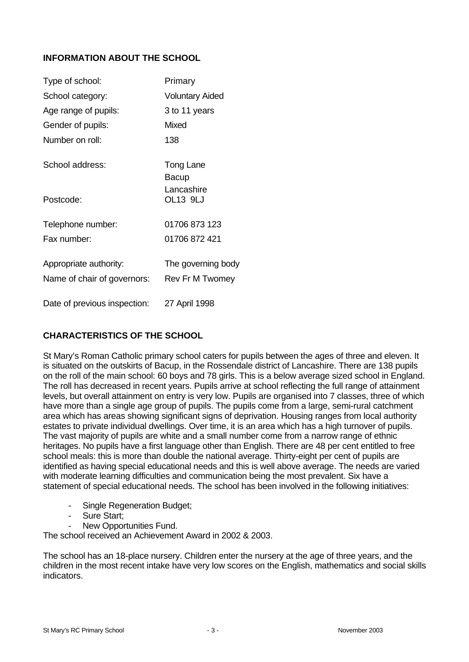# **INFORMATION ABOUT THE SCHOOL**

| Type of school:                                       | Primary                               |
|-------------------------------------------------------|---------------------------------------|
| School category:                                      | <b>Voluntary Aided</b>                |
| Age range of pupils:                                  | 3 to 11 years                         |
| Gender of pupils:                                     | <b>Mixed</b>                          |
| Number on roll:                                       | 138                                   |
| School address:                                       | Tong Lane<br>Bacup                    |
| Postcode:                                             | Lancashire<br>OL13 9LJ                |
| Telephone number:                                     | 01706 873 123                         |
| Fax number:                                           | 01706 872 421                         |
| Appropriate authority:<br>Name of chair of governors: | The governing body<br>Rev Fr M Twomey |
| Date of previous inspection:                          | 27 April 1998                         |

# **CHARACTERISTICS OF THE SCHOOL**

St Mary's Roman Catholic primary school caters for pupils between the ages of three and eleven. It is situated on the outskirts of Bacup, in the Rossendale district of Lancashire. There are 138 pupils on the roll of the main school: 60 boys and 78 girls. This is a below average sized school in England. The roll has decreased in recent years. Pupils arrive at school reflecting the full range of attainment levels, but overall attainment on entry is very low. Pupils are organised into 7 classes, three of which have more than a single age group of pupils. The pupils come from a large, semi-rural catchment area which has areas showing significant signs of deprivation. Housing ranges from local authority estates to private individual dwellings. Over time, it is an area which has a high turnover of pupils. The vast majority of pupils are white and a small number come from a narrow range of ethnic heritages. No pupils have a first language other than English. There are 48 per cent entitled to free school meals: this is more than double the national average. Thirty-eight per cent of pupils are identified as having special educational needs and this is well above average. The needs are varied with moderate learning difficulties and communication being the most prevalent. Six have a statement of special educational needs. The school has been involved in the following initiatives:

- Single Regeneration Budget;
- Sure Start;
- New Opportunities Fund.

The school received an Achievement Award in 2002 & 2003.

The school has an 18-place nursery. Children enter the nursery at the age of three years, and the children in the most recent intake have very low scores on the English, mathematics and social skills indicators.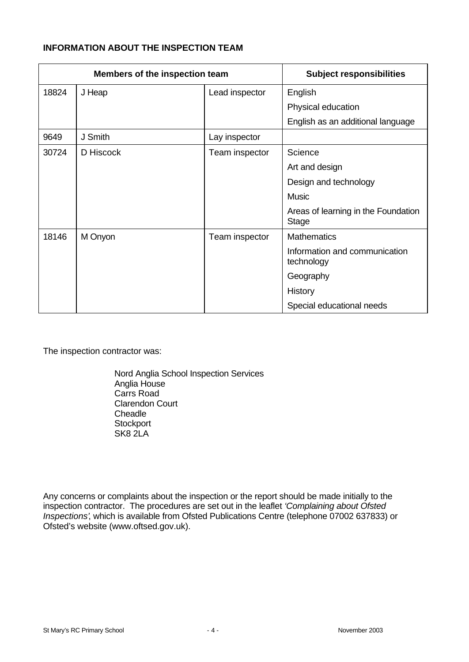# **INFORMATION ABOUT THE INSPECTION TEAM**

| Members of the inspection team |           | <b>Subject responsibilities</b> |                                                     |
|--------------------------------|-----------|---------------------------------|-----------------------------------------------------|
| 18824                          | J Heap    | Lead inspector                  | English                                             |
|                                |           |                                 | Physical education                                  |
|                                |           |                                 | English as an additional language                   |
| 9649                           | J Smith   | Lay inspector                   |                                                     |
| 30724                          | D Hiscock | Team inspector                  | Science                                             |
|                                |           |                                 | Art and design                                      |
|                                |           |                                 | Design and technology                               |
|                                |           |                                 | <b>Music</b>                                        |
|                                |           |                                 | Areas of learning in the Foundation<br><b>Stage</b> |
| 18146                          | M Onyon   | Team inspector                  | <b>Mathematics</b>                                  |
|                                |           |                                 | Information and communication<br>technology         |
|                                |           |                                 | Geography                                           |
|                                |           |                                 | History                                             |
|                                |           |                                 | Special educational needs                           |

The inspection contractor was:

Nord Anglia School Inspection Services Anglia House Carrs Road Clarendon Court **Cheadle Stockport** SK8 2LA

Any concerns or complaints about the inspection or the report should be made initially to the inspection contractor. The procedures are set out in the leaflet *'Complaining about Ofsted Inspections'*, which is available from Ofsted Publications Centre (telephone 07002 637833) or Ofsted's website (www.oftsed.gov.uk).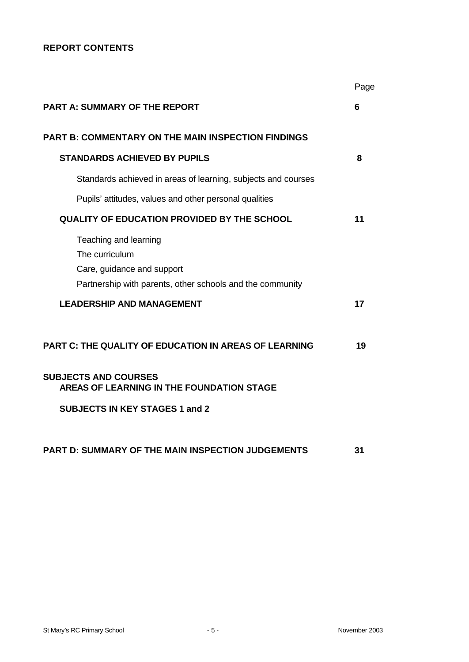# **REPORT CONTENTS**

|                                                                                                                                    | Page |
|------------------------------------------------------------------------------------------------------------------------------------|------|
| <b>PART A: SUMMARY OF THE REPORT</b>                                                                                               | 6    |
| <b>PART B: COMMENTARY ON THE MAIN INSPECTION FINDINGS</b>                                                                          |      |
| <b>STANDARDS ACHIEVED BY PUPILS</b>                                                                                                | 8    |
| Standards achieved in areas of learning, subjects and courses                                                                      |      |
| Pupils' attitudes, values and other personal qualities                                                                             |      |
| <b>QUALITY OF EDUCATION PROVIDED BY THE SCHOOL</b>                                                                                 | 11   |
| Teaching and learning<br>The curriculum<br>Care, guidance and support<br>Partnership with parents, other schools and the community |      |
| <b>LEADERSHIP AND MANAGEMENT</b>                                                                                                   | 17   |
| PART C: THE QUALITY OF EDUCATION IN AREAS OF LEARNING                                                                              | 19   |
| <b>SUBJECTS AND COURSES</b><br><b>AREAS OF LEARNING IN THE FOUNDATION STAGE</b>                                                    |      |
| <b>SUBJECTS IN KEY STAGES 1 and 2</b>                                                                                              |      |
| PART D: SUMMARY OF THE MAIN INSPECTION JUDGEMENTS                                                                                  | 31   |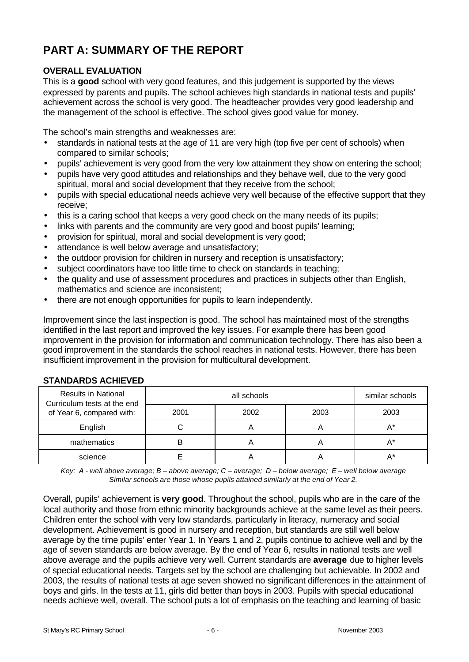# **PART A: SUMMARY OF THE REPORT**

# **OVERALL EVALUATION**

This is a **good** school with very good features, and this judgement is supported by the views expressed by parents and pupils. The school achieves high standards in national tests and pupils' achievement across the school is very good. The headteacher provides very good leadership and the management of the school is effective. The school gives good value for money.

The school's main strengths and weaknesses are:

- standards in national tests at the age of 11 are very high (top five per cent of schools) when compared to similar schools;
- pupils' achievement is very good from the very low attainment they show on entering the school;
- pupils have very good attitudes and relationships and they behave well, due to the very good spiritual, moral and social development that they receive from the school;
- pupils with special educational needs achieve very well because of the effective support that they receive;
- this is a caring school that keeps a very good check on the many needs of its pupils;
- links with parents and the community are very good and boost pupils' learning;
- provision for spiritual, moral and social development is very good;
- attendance is well below average and unsatisfactory;
- the outdoor provision for children in nursery and reception is unsatisfactory;
- subject coordinators have too little time to check on standards in teaching;
- the quality and use of assessment procedures and practices in subjects other than English, mathematics and science are inconsistent;
- there are not enough opportunities for pupils to learn independently.

Improvement since the last inspection is good. The school has maintained most of the strengths identified in the last report and improved the key issues. For example there has been good improvement in the provision for information and communication technology. There has also been a good improvement in the standards the school reaches in national tests. However, there has been insufficient improvement in the provision for multicultural development.

| <b>Results in National</b><br>Curriculum tests at the end |      | similar schools |      |      |
|-----------------------------------------------------------|------|-----------------|------|------|
| of Year 6, compared with:                                 | 2001 | 2002            | 2003 | 2003 |
| English                                                   |      |                 | n    | A*   |
| mathematics                                               |      |                 |      |      |
| science                                                   |      |                 |      |      |

#### **STANDARDS ACHIEVED**

*Key: A - well above average; B – above average; C – average; D – below average; E – well below average Similar schools are those whose pupils attained similarly at the end of Year 2.*

Overall, pupils' achievement is **very good**. Throughout the school, pupils who are in the care of the local authority and those from ethnic minority backgrounds achieve at the same level as their peers. Children enter the school with very low standards, particularly in literacy, numeracy and social development. Achievement is good in nursery and reception, but standards are still well below average by the time pupils' enter Year 1. In Years 1 and 2, pupils continue to achieve well and by the age of seven standards are below average. By the end of Year 6, results in national tests are well above average and the pupils achieve very well. Current standards are **average** due to higher levels of special educational needs. Targets set by the school are challenging but achievable. In 2002 and 2003, the results of national tests at age seven showed no significant differences in the attainment of boys and girls. In the tests at 11, girls did better than boys in 2003. Pupils with special educational needs achieve well, overall. The school puts a lot of emphasis on the teaching and learning of basic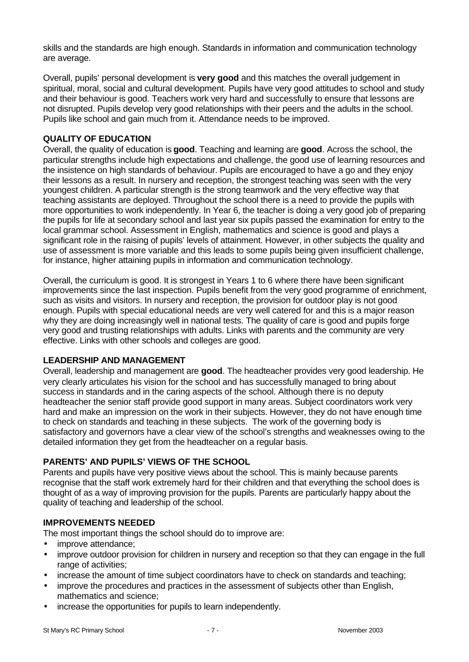skills and the standards are high enough. Standards in information and communication technology are average.

Overall, pupils' personal development is **very good** and this matches the overall judgement in spiritual, moral, social and cultural development. Pupils have very good attitudes to school and study and their behaviour is good. Teachers work very hard and successfully to ensure that lessons are not disrupted. Pupils develop very good relationships with their peers and the adults in the school. Pupils like school and gain much from it. Attendance needs to be improved.

## **QUALITY OF EDUCATION**

Overall, the quality of education is **good**. Teaching and learning are **good**. Across the school, the particular strengths include high expectations and challenge, the good use of learning resources and the insistence on high standards of behaviour. Pupils are encouraged to have a go and they enjoy their lessons as a result. In nursery and reception, the strongest teaching was seen with the very youngest children. A particular strength is the strong teamwork and the very effective way that teaching assistants are deployed. Throughout the school there is a need to provide the pupils with more opportunities to work independently. In Year 6, the teacher is doing a very good job of preparing the pupils for life at secondary school and last year six pupils passed the examination for entry to the local grammar school. Assessment in English, mathematics and science is good and plays a significant role in the raising of pupils' levels of attainment. However, in other subjects the quality and use of assessment is more variable and this leads to some pupils being given insufficient challenge, for instance, higher attaining pupils in information and communication technology.

Overall, the curriculum is good. It is strongest in Years 1 to 6 where there have been significant improvements since the last inspection. Pupils benefit from the very good programme of enrichment, such as visits and visitors. In nursery and reception, the provision for outdoor play is not good enough. Pupils with special educational needs are very well catered for and this is a major reason why they are doing increasingly well in national tests. The quality of care is good and pupils forge very good and trusting relationships with adults. Links with parents and the community are very effective. Links with other schools and colleges are good.

#### **LEADERSHIP AND MANAGEMENT**

Overall, leadership and management are **good**. The headteacher provides very good leadership. He very clearly articulates his vision for the school and has successfully managed to bring about success in standards and in the caring aspects of the school. Although there is no deputy headteacher the senior staff provide good support in many areas. Subject coordinators work very hard and make an impression on the work in their subjects. However, they do not have enough time to check on standards and teaching in these subjects. The work of the governing body is satisfactory and governors have a clear view of the school's strengths and weaknesses owing to the detailed information they get from the headteacher on a regular basis.

# **PARENTS' AND PUPILS' VIEWS OF THE SCHOOL**

Parents and pupils have very positive views about the school. This is mainly because parents recognise that the staff work extremely hard for their children and that everything the school does is thought of as a way of improving provision for the pupils. Parents are particularly happy about the quality of teaching and leadership of the school.

#### **IMPROVEMENTS NEEDED**

The most important things the school should do to improve are:

- improve attendance;
- improve outdoor provision for children in nursery and reception so that they can engage in the full range of activities:
- increase the amount of time subject coordinators have to check on standards and teaching;
- improve the procedures and practices in the assessment of subjects other than English, mathematics and science;
- increase the opportunities for pupils to learn independently.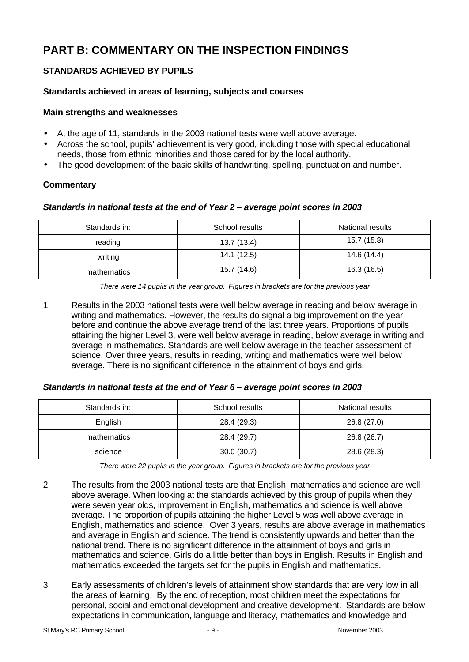# **PART B: COMMENTARY ON THE INSPECTION FINDINGS**

# **STANDARDS ACHIEVED BY PUPILS**

## **Standards achieved in areas of learning, subjects and courses**

#### **Main strengths and weaknesses**

- At the age of 11, standards in the 2003 national tests were well above average.
- Across the school, pupils' achievement is very good, including those with special educational needs, those from ethnic minorities and those cared for by the local authority.
- The good development of the basic skills of handwriting, spelling, punctuation and number.

## **Commentary**

## *Standards in national tests at the end of Year 2 – average point scores in 2003*

| Standards in: | School results | National results |  |  |
|---------------|----------------|------------------|--|--|
| reading       | 13.7 (13.4)    | 15.7 (15.8)      |  |  |
| writing       | 14.1(12.5)     | 14.6 (14.4)      |  |  |
| mathematics   | 15.7 (14.6)    | 16.3 (16.5)      |  |  |

*There were 14 pupils in the year group. Figures in brackets are for the previous year*

1 Results in the 2003 national tests were well below average in reading and below average in writing and mathematics. However, the results do signal a big improvement on the year before and continue the above average trend of the last three years. Proportions of pupils attaining the higher Level 3, were well below average in reading, below average in writing and average in mathematics. Standards are well below average in the teacher assessment of science. Over three years, results in reading, writing and mathematics were well below average. There is no significant difference in the attainment of boys and girls.

#### *Standards in national tests at the end of Year 6 – average point scores in 2003*

| Standards in: | School results | National results |  |
|---------------|----------------|------------------|--|
| English       | 28.4 (29.3)    | 26.8 (27.0)      |  |
| mathematics   | 28.4 (29.7)    | 26.8 (26.7)      |  |
| science       | 30.0(30.7)     | 28.6 (28.3)      |  |

*There were 22 pupils in the year group. Figures in brackets are for the previous year*

- 2 The results from the 2003 national tests are that English, mathematics and science are well above average. When looking at the standards achieved by this group of pupils when they were seven year olds, improvement in English, mathematics and science is well above average. The proportion of pupils attaining the higher Level 5 was well above average in English, mathematics and science. Over 3 years, results are above average in mathematics and average in English and science. The trend is consistently upwards and better than the national trend. There is no significant difference in the attainment of boys and girls in mathematics and science. Girls do a little better than boys in English. Results in English and mathematics exceeded the targets set for the pupils in English and mathematics.
- 3 Early assessments of children's levels of attainment show standards that are very low in all the areas of learning. By the end of reception, most children meet the expectations for personal, social and emotional development and creative development. Standards are below expectations in communication, language and literacy, mathematics and knowledge and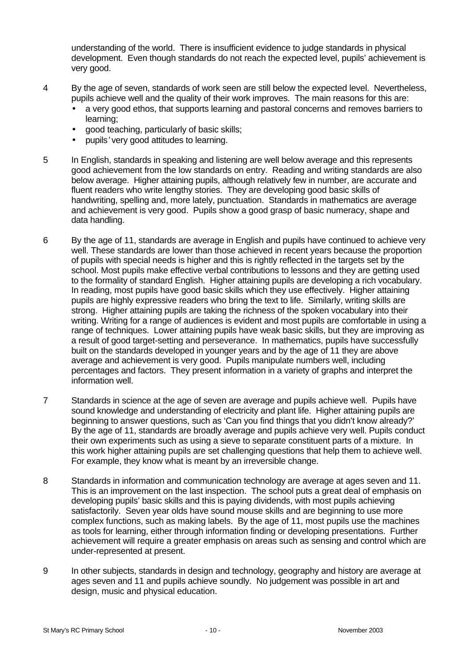understanding of the world. There is insufficient evidence to judge standards in physical development. Even though standards do not reach the expected level, pupils' achievement is very good.

- 4 By the age of seven, standards of work seen are still below the expected level. Nevertheless, pupils achieve well and the quality of their work improves. The main reasons for this are:
	- a very good ethos, that supports learning and pastoral concerns and removes barriers to learning;
	- good teaching, particularly of basic skills;
	- pupils*'* very good attitudes to learning.
- 5 In English, standards in speaking and listening are well below average and this represents good achievement from the low standards on entry. Reading and writing standards are also below average. Higher attaining pupils, although relatively few in number, are accurate and fluent readers who write lengthy stories. They are developing good basic skills of handwriting, spelling and, more lately, punctuation. Standards in mathematics are average and achievement is very good. Pupils show a good grasp of basic numeracy, shape and data handling.
- 6 By the age of 11, standards are average in English and pupils have continued to achieve very well. These standards are lower than those achieved in recent years because the proportion of pupils with special needs is higher and this is rightly reflected in the targets set by the school. Most pupils make effective verbal contributions to lessons and they are getting used to the formality of standard English. Higher attaining pupils are developing a rich vocabulary. In reading, most pupils have good basic skills which they use effectively. Higher attaining pupils are highly expressive readers who bring the text to life. Similarly, writing skills are strong. Higher attaining pupils are taking the richness of the spoken vocabulary into their writing. Writing for a range of audiences is evident and most pupils are comfortable in using a range of techniques. Lower attaining pupils have weak basic skills, but they are improving as a result of good target-setting and perseverance. In mathematics, pupils have successfully built on the standards developed in younger years and by the age of 11 they are above average and achievement is very good. Pupils manipulate numbers well, including percentages and factors. They present information in a variety of graphs and interpret the information well.
- 7 Standards in science at the age of seven are average and pupils achieve well. Pupils have sound knowledge and understanding of electricity and plant life. Higher attaining pupils are beginning to answer questions, such as 'Can you find things that you didn't know already?' By the age of 11, standards are broadly average and pupils achieve very well. Pupils conduct their own experiments such as using a sieve to separate constituent parts of a mixture. In this work higher attaining pupils are set challenging questions that help them to achieve well. For example, they know what is meant by an irreversible change.
- 8 Standards in information and communication technology are average at ages seven and 11. This is an improvement on the last inspection. The school puts a great deal of emphasis on developing pupils' basic skills and this is paying dividends, with most pupils achieving satisfactorily. Seven year olds have sound mouse skills and are beginning to use more complex functions, such as making labels. By the age of 11, most pupils use the machines as tools for learning, either through information finding or developing presentations. Further achievement will require a greater emphasis on areas such as sensing and control which are under-represented at present.
- 9 In other subjects, standards in design and technology, geography and history are average at ages seven and 11 and pupils achieve soundly. No judgement was possible in art and design, music and physical education.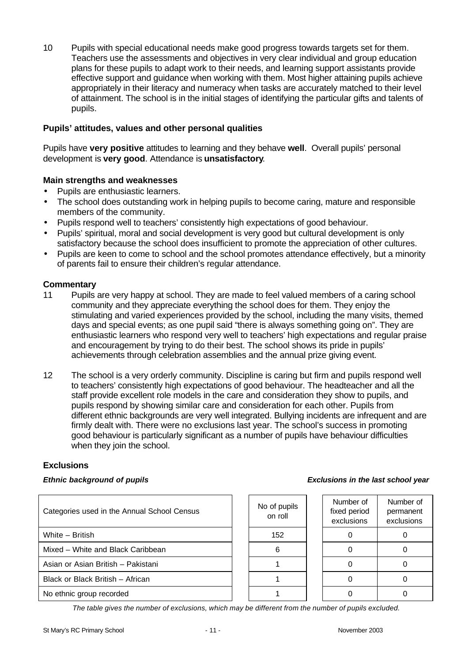10 Pupils with special educational needs make good progress towards targets set for them. Teachers use the assessments and objectives in very clear individual and group education plans for these pupils to adapt work to their needs, and learning support assistants provide effective support and guidance when working with them. Most higher attaining pupils achieve appropriately in their literacy and numeracy when tasks are accurately matched to their level of attainment. The school is in the initial stages of identifying the particular gifts and talents of pupils.

#### **Pupils' attitudes, values and other personal qualities**

Pupils have **very positive** attitudes to learning and they behave **well**. Overall pupils' personal development is **very good**. Attendance is **unsatisfactory**.

## **Main strengths and weaknesses**

- Pupils are enthusiastic learners.
- The school does outstanding work in helping pupils to become caring, mature and responsible members of the community.
- Pupils respond well to teachers' consistently high expectations of good behaviour.
- Pupils' spiritual, moral and social development is very good but cultural development is only satisfactory because the school does insufficient to promote the appreciation of other cultures.
- Pupils are keen to come to school and the school promotes attendance effectively, but a minority of parents fail to ensure their children's regular attendance.

## **Commentary**

- 11 Pupils are very happy at school. They are made to feel valued members of a caring school community and they appreciate everything the school does for them. They enjoy the stimulating and varied experiences provided by the school, including the many visits, themed days and special events; as one pupil said "there is always something going on". They are enthusiastic learners who respond very well to teachers' high expectations and regular praise and encouragement by trying to do their best. The school shows its pride in pupils' achievements through celebration assemblies and the annual prize giving event.
- 12 The school is a very orderly community. Discipline is caring but firm and pupils respond well to teachers' consistently high expectations of good behaviour. The headteacher and all the staff provide excellent role models in the care and consideration they show to pupils, and pupils respond by showing similar care and consideration for each other. Pupils from different ethnic backgrounds are very well integrated. Bullying incidents are infrequent and are firmly dealt with. There were no exclusions last year. The school's success in promoting good behaviour is particularly significant as a number of pupils have behaviour difficulties when they join the school.

#### **Exclusions**

| Categories used in the Annual School Census | No of pupils<br>on roll | Number of<br>fixed period<br>exclusions | Numb<br>perma<br>exclus |
|---------------------------------------------|-------------------------|-----------------------------------------|-------------------------|
| White - British                             | 152                     |                                         | 0                       |
| Mixed – White and Black Caribbean           | 6                       |                                         | $\Omega$                |
| Asian or Asian British - Pakistani          |                         |                                         | $\Omega$                |
| Black or Black British - African            |                         |                                         | 0                       |
| No ethnic group recorded                    |                         |                                         | 0                       |

#### *Ethnic background of pupils Exclusions in the last school year*

| s | Number of<br>fixed period<br>exclusions | Number of<br>permanent<br>exclusions |
|---|-----------------------------------------|--------------------------------------|
|   |                                         |                                      |
|   |                                         |                                      |
|   |                                         |                                      |
|   |                                         |                                      |
|   |                                         |                                      |

*The table gives the number of exclusions, which may be different from the number of pupils excluded.*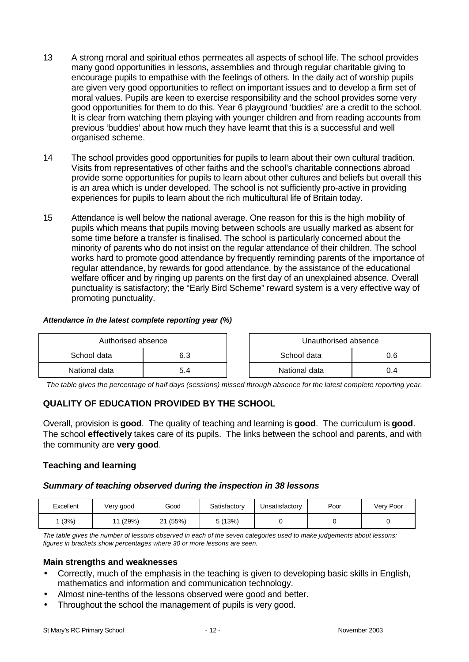- 13 A strong moral and spiritual ethos permeates all aspects of school life. The school provides many good opportunities in lessons, assemblies and through regular charitable giving to encourage pupils to empathise with the feelings of others. In the daily act of worship pupils are given very good opportunities to reflect on important issues and to develop a firm set of moral values. Pupils are keen to exercise responsibility and the school provides some very good opportunities for them to do this. Year 6 playground 'buddies' are a credit to the school. It is clear from watching them playing with younger children and from reading accounts from previous 'buddies' about how much they have learnt that this is a successful and well organised scheme.
- 14 The school provides good opportunities for pupils to learn about their own cultural tradition. Visits from representatives of other faiths and the school's charitable connections abroad provide some opportunities for pupils to learn about other cultures and beliefs but overall this is an area which is under developed. The school is not sufficiently pro-active in providing experiences for pupils to learn about the rich multicultural life of Britain today.
- 15 Attendance is well below the national average. One reason for this is the high mobility of pupils which means that pupils moving between schools are usually marked as absent for some time before a transfer is finalised. The school is particularly concerned about the minority of parents who do not insist on the regular attendance of their children. The school works hard to promote good attendance by frequently reminding parents of the importance of regular attendance, by rewards for good attendance, by the assistance of the educational welfare officer and by ringing up parents on the first day of an unexplained absence. Overall punctuality is satisfactory; the "Early Bird Scheme" reward system is a very effective way of promoting punctuality.

#### *Attendance in the latest complete reporting year (%)*

| Authorised absence |  | Unauthorised absence |     |
|--------------------|--|----------------------|-----|
| School data<br>6.3 |  | School data          | 0.6 |
| National data      |  | National data        |     |

*The table gives the percentage of half days (sessions) missed through absence for the latest complete reporting year.*

#### **QUALITY OF EDUCATION PROVIDED BY THE SCHOOL**

Overall, provision is **good**. The quality of teaching and learning is **good**. The curriculum is **good**. The school **effectively** takes care of its pupils. The links between the school and parents, and with the community are **very good**.

#### **Teaching and learning**

#### *Summary of teaching observed during the inspection in 38 lessons*

| Excellent | Very good | Good     | Satisfactory | Unsatisfactory | Poor | Verv Poor |
|-----------|-----------|----------|--------------|----------------|------|-----------|
| (3%)      | (29%)     | 21 (55%) | 5(13%)       |                |      |           |

*The table gives the number of lessons observed in each of the seven categories used to make judgements about lessons; figures in brackets show percentages where 30 or more lessons are seen.*

#### **Main strengths and weaknesses**

- Correctly, much of the emphasis in the teaching is given to developing basic skills in English, mathematics and information and communication technology.
- Almost nine-tenths of the lessons observed were good and better.
	- Throughout the school the management of pupils is very good.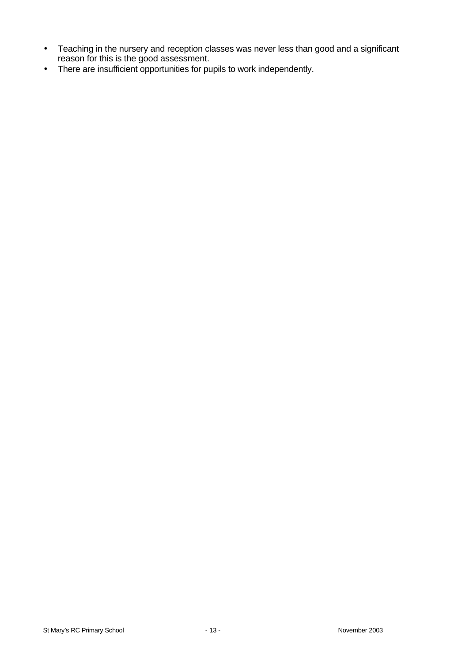- Teaching in the nursery and reception classes was never less than good and a significant reason for this is the good assessment.
- There are insufficient opportunities for pupils to work independently.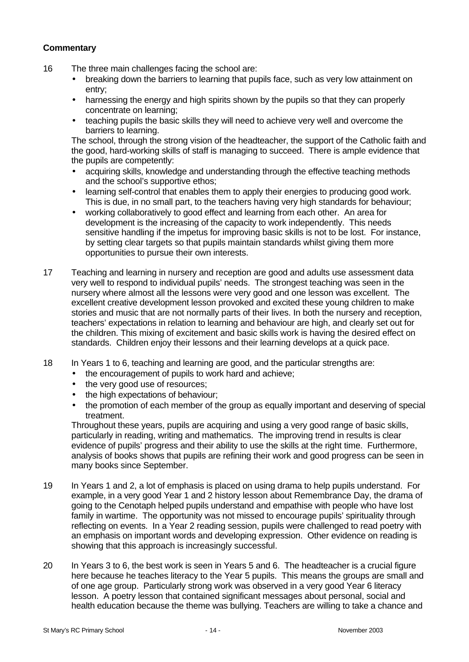## **Commentary**

- 16 The three main challenges facing the school are:
	- breaking down the barriers to learning that pupils face, such as very low attainment on entry;
	- harnessing the energy and high spirits shown by the pupils so that they can properly concentrate on learning;
	- teaching pupils the basic skills they will need to achieve very well and overcome the barriers to learning.

The school, through the strong vision of the headteacher, the support of the Catholic faith and the good, hard-working skills of staff is managing to succeed. There is ample evidence that the pupils are competently:

- acquiring skills, knowledge and understanding through the effective teaching methods and the school's supportive ethos;
- learning self-control that enables them to apply their energies to producing good work. This is due, in no small part, to the teachers having very high standards for behaviour;
- working collaboratively to good effect and learning from each other. An area for development is the increasing of the capacity to work independently. This needs sensitive handling if the impetus for improving basic skills is not to be lost. For instance, by setting clear targets so that pupils maintain standards whilst giving them more opportunities to pursue their own interests.
- 17 Teaching and learning in nursery and reception are good and adults use assessment data very well to respond to individual pupils' needs. The strongest teaching was seen in the nursery where almost all the lessons were very good and one lesson was excellent. The excellent creative development lesson provoked and excited these young children to make stories and music that are not normally parts of their lives. In both the nursery and reception, teachers' expectations in relation to learning and behaviour are high, and clearly set out for the children. This mixing of excitement and basic skills work is having the desired effect on standards. Children enjoy their lessons and their learning develops at a quick pace.
- 18 In Years 1 to 6, teaching and learning are good, and the particular strengths are:
	- the encouragement of pupils to work hard and achieve;
	- the very good use of resources;
	- the high expectations of behaviour;
	- the promotion of each member of the group as equally important and deserving of special treatment.

Throughout these years, pupils are acquiring and using a very good range of basic skills, particularly in reading, writing and mathematics. The improving trend in results is clear evidence of pupils' progress and their ability to use the skills at the right time. Furthermore, analysis of books shows that pupils are refining their work and good progress can be seen in many books since September.

- 19 In Years 1 and 2, a lot of emphasis is placed on using drama to help pupils understand. For example, in a very good Year 1 and 2 history lesson about Remembrance Day, the drama of going to the Cenotaph helped pupils understand and empathise with people who have lost family in wartime. The opportunity was not missed to encourage pupils' spirituality through reflecting on events. In a Year 2 reading session, pupils were challenged to read poetry with an emphasis on important words and developing expression. Other evidence on reading is showing that this approach is increasingly successful.
- 20 In Years 3 to 6, the best work is seen in Years 5 and 6. The headteacher is a crucial figure here because he teaches literacy to the Year 5 pupils. This means the groups are small and of one age group. Particularly strong work was observed in a very good Year 6 literacy lesson. A poetry lesson that contained significant messages about personal, social and health education because the theme was bullying. Teachers are willing to take a chance and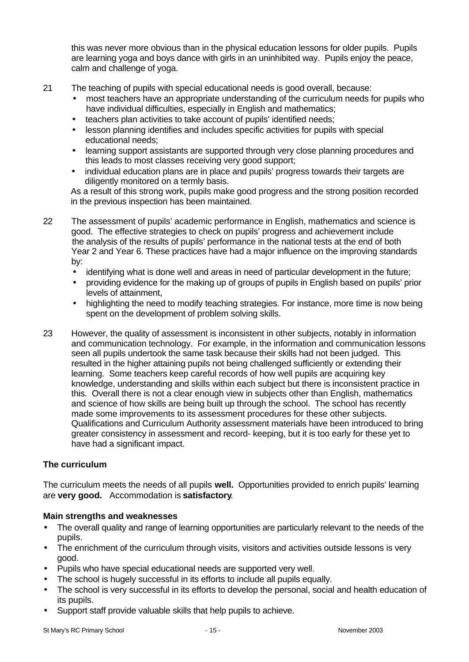this was never more obvious than in the physical education lessons for older pupils. Pupils are learning yoga and boys dance with girls in an uninhibited way. Pupils enjoy the peace, calm and challenge of yoga.

- 21 The teaching of pupils with special educational needs is good overall, because:
	- most teachers have an appropriate understanding of the curriculum needs for pupils who have individual difficulties, especially in English and mathematics;
	- teachers plan activities to take account of pupils' identified needs;
	- lesson planning identifies and includes specific activities for pupils with special educational needs;
	- learning support assistants are supported through very close planning procedures and this leads to most classes receiving very good support;
	- individual education plans are in place and pupils' progress towards their targets are diligently monitored on a termly basis.

As a result of this strong work, pupils make good progress and the strong position recorded in the previous inspection has been maintained.

- 22 The assessment of pupils' academic performance in English, mathematics and science is good. The effective strategies to check on pupils' progress and achievement include the analysis of the results of pupils' performance in the national tests at the end of both Year 2 and Year 6. These practices have had a major influence on the improving standards by:
	- identifying what is done well and areas in need of particular development in the future;
	- providing evidence for the making up of groups of pupils in English based on pupils' prior levels of attainment,
	- highlighting the need to modify teaching strategies. For instance, more time is now being spent on the development of problem solving skills.
- 23 However, the quality of assessment is inconsistent in other subjects, notably in information and communication technology. For example, in the information and communication lessons seen all pupils undertook the same task because their skills had not been judged. This resulted in the higher attaining pupils not being challenged sufficiently or extending their learning. Some teachers keep careful records of how well pupils are acquiring key knowledge, understanding and skills within each subject but there is inconsistent practice in this. Overall there is not a clear enough view in subjects other than English, mathematics and science of how skills are being built up through the school. The school has recently made some improvements to its assessment procedures for these other subjects. Qualifications and Curriculum Authority assessment materials have been introduced to bring greater consistency in assessment and record- keeping, but it is too early for these yet to have had a significant impact.

#### **The curriculum**

The curriculum meets the needs of all pupils **well.** Opportunities provided to enrich pupils' learning are **very good.** Accommodation is **satisfactory**.

#### **Main strengths and weaknesses**

- The overall quality and range of learning opportunities are particularly relevant to the needs of the pupils.
- The enrichment of the curriculum through visits, visitors and activities outside lessons is very good.
- Pupils who have special educational needs are supported very well.
- The school is hugely successful in its efforts to include all pupils equally.
- The school is very successful in its efforts to develop the personal, social and health education of its pupils.
- Support staff provide valuable skills that help pupils to achieve.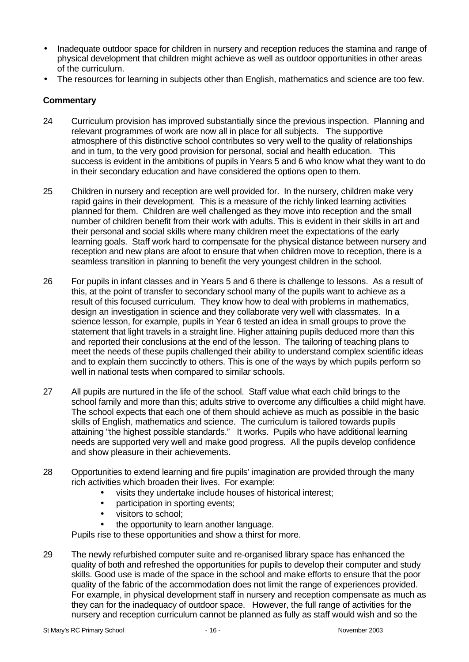- Inadequate outdoor space for children in nursery and reception reduces the stamina and range of physical development that children might achieve as well as outdoor opportunities in other areas of the curriculum.
- The resources for learning in subjects other than English, mathematics and science are too few.

## **Commentary**

- 24 Curriculum provision has improved substantially since the previous inspection. Planning and relevant programmes of work are now all in place for all subjects. The supportive atmosphere of this distinctive school contributes so very well to the quality of relationships and in turn, to the very good provision for personal, social and health education. This success is evident in the ambitions of pupils in Years 5 and 6 who know what they want to do in their secondary education and have considered the options open to them.
- 25 Children in nursery and reception are well provided for. In the nursery, children make very rapid gains in their development. This is a measure of the richly linked learning activities planned for them. Children are well challenged as they move into reception and the small number of children benefit from their work with adults. This is evident in their skills in art and their personal and social skills where many children meet the expectations of the early learning goals. Staff work hard to compensate for the physical distance between nursery and reception and new plans are afoot to ensure that when children move to reception, there is a seamless transition in planning to benefit the very youngest children in the school.
- 26 For pupils in infant classes and in Years 5 and 6 there is challenge to lessons. As a result of this, at the point of transfer to secondary school many of the pupils want to achieve as a result of this focused curriculum. They know how to deal with problems in mathematics, design an investigation in science and they collaborate very well with classmates. In a science lesson, for example, pupils in Year 6 tested an idea in small groups to prove the statement that light travels in a straight line. Higher attaining pupils deduced more than this and reported their conclusions at the end of the lesson. The tailoring of teaching plans to meet the needs of these pupils challenged their ability to understand complex scientific ideas and to explain them succinctly to others. This is one of the ways by which pupils perform so well in national tests when compared to similar schools.
- 27 All pupils are nurtured in the life of the school. Staff value what each child brings to the school family and more than this; adults strive to overcome any difficulties a child might have. The school expects that each one of them should achieve as much as possible in the basic skills of English, mathematics and science. The curriculum is tailored towards pupils attaining "the highest possible standards." It works. Pupils who have additional learning needs are supported very well and make good progress. All the pupils develop confidence and show pleasure in their achievements.
- 28 Opportunities to extend learning and fire pupils' imagination are provided through the many rich activities which broaden their lives. For example:
	- visits they undertake include houses of historical interest;
	- participation in sporting events;
	- visitors to school;
	- the opportunity to learn another language.

Pupils rise to these opportunities and show a thirst for more.

29 The newly refurbished computer suite and re-organised library space has enhanced the quality of both and refreshed the opportunities for pupils to develop their computer and study skills. Good use is made of the space in the school and make efforts to ensure that the poor quality of the fabric of the accommodation does not limit the range of experiences provided. For example, in physical development staff in nursery and reception compensate as much as they can for the inadequacy of outdoor space. However, the full range of activities for the nursery and reception curriculum cannot be planned as fully as staff would wish and so the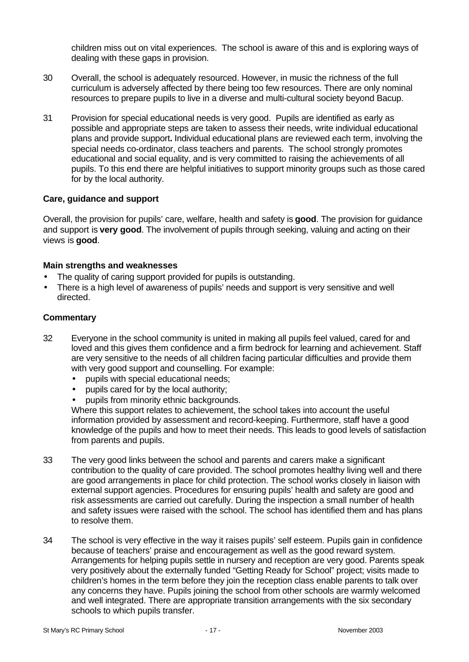children miss out on vital experiences. The school is aware of this and is exploring ways of dealing with these gaps in provision.

- 30 Overall, the school is adequately resourced. However, in music the richness of the full curriculum is adversely affected by there being too few resources. There are only nominal resources to prepare pupils to live in a diverse and multi-cultural society beyond Bacup.
- 31 Provision for special educational needs is very good. Pupils are identified as early as possible and appropriate steps are taken to assess their needs, write individual educational plans and provide support**.** Individual educational plans are reviewed each term, involving the special needs co-ordinator, class teachers and parents. The school strongly promotes educational and social equality, and is very committed to raising the achievements of all pupils. To this end there are helpful initiatives to support minority groups such as those cared for by the local authority.

#### **Care, guidance and support**

Overall, the provision for pupils' care, welfare, health and safety is **good**. The provision for guidance and support is **very good**. The involvement of pupils through seeking, valuing and acting on their views is **good**.

#### **Main strengths and weaknesses**

- The quality of caring support provided for pupils is outstanding.
- There is a high level of awareness of pupils' needs and support is very sensitive and well directed.

#### **Commentary**

- 32 Everyone in the school community is united in making all pupils feel valued, cared for and loved and this gives them confidence and a firm bedrock for learning and achievement. Staff are very sensitive to the needs of all children facing particular difficulties and provide them with very good support and counselling. For example:
	- pupils with special educational needs;
	- pupils cared for by the local authority;
	- pupils from minority ethnic backgrounds.

Where this support relates to achievement, the school takes into account the useful information provided by assessment and record-keeping. Furthermore, staff have a good knowledge of the pupils and how to meet their needs. This leads to good levels of satisfaction from parents and pupils.

- 33 The very good links between the school and parents and carers make a significant contribution to the quality of care provided. The school promotes healthy living well and there are good arrangements in place for child protection. The school works closely in liaison with external support agencies. Procedures for ensuring pupils' health and safety are good and risk assessments are carried out carefully. During the inspection a small number of health and safety issues were raised with the school. The school has identified them and has plans to resolve them.
- 34 The school is very effective in the way it raises pupils' self esteem. Pupils gain in confidence because of teachers' praise and encouragement as well as the good reward system. Arrangements for helping pupils settle in nursery and reception are very good. Parents speak very positively about the externally funded "Getting Ready for School" project; visits made to children's homes in the term before they join the reception class enable parents to talk over any concerns they have. Pupils joining the school from other schools are warmly welcomed and well integrated. There are appropriate transition arrangements with the six secondary schools to which pupils transfer.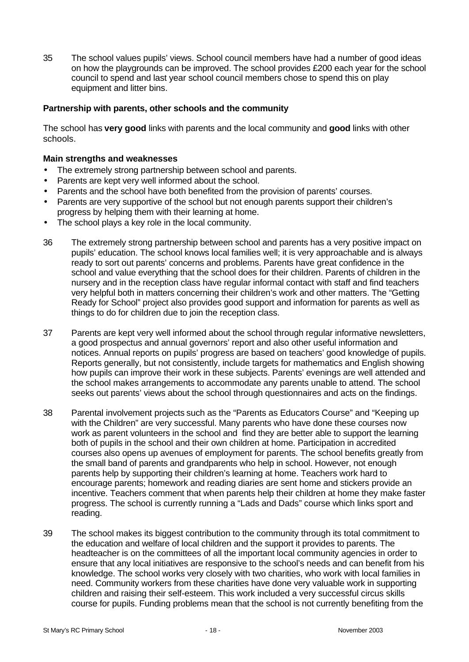35 The school values pupils' views. School council members have had a number of good ideas on how the playgrounds can be improved. The school provides £200 each year for the school council to spend and last year school council members chose to spend this on play equipment and litter bins.

#### **Partnership with parents, other schools and the community**

The school has **very good** links with parents and the local community and **good** links with other schools.

#### **Main strengths and weaknesses**

- The extremely strong partnership between school and parents.
- Parents are kept very well informed about the school.
- Parents and the school have both benefited from the provision of parents' courses.
- Parents are very supportive of the school but not enough parents support their children's progress by helping them with their learning at home.
- The school plays a key role in the local community.
- 36 The extremely strong partnership between school and parents has a very positive impact on pupils' education. The school knows local families well; it is very approachable and is always ready to sort out parents' concerns and problems. Parents have great confidence in the school and value everything that the school does for their children. Parents of children in the nursery and in the reception class have regular informal contact with staff and find teachers very helpful both in matters concerning their children's work and other matters. The "Getting Ready for School" project also provides good support and information for parents as well as things to do for children due to join the reception class.
- 37 Parents are kept very well informed about the school through regular informative newsletters, a good prospectus and annual governors' report and also other useful information and notices. Annual reports on pupils' progress are based on teachers' good knowledge of pupils. Reports generally, but not consistently, include targets for mathematics and English showing how pupils can improve their work in these subjects. Parents' evenings are well attended and the school makes arrangements to accommodate any parents unable to attend. The school seeks out parents' views about the school through questionnaires and acts on the findings.
- 38 Parental involvement projects such as the "Parents as Educators Course" and "Keeping up with the Children" are very successful. Many parents who have done these courses now work as parent volunteers in the school and find they are better able to support the learning both of pupils in the school and their own children at home. Participation in accredited courses also opens up avenues of employment for parents. The school benefits greatly from the small band of parents and grandparents who help in school. However, not enough parents help by supporting their children's learning at home. Teachers work hard to encourage parents; homework and reading diaries are sent home and stickers provide an incentive. Teachers comment that when parents help their children at home they make faster progress. The school is currently running a "Lads and Dads" course which links sport and reading.
- 39 The school makes its biggest contribution to the community through its total commitment to the education and welfare of local children and the support it provides to parents. The headteacher is on the committees of all the important local community agencies in order to ensure that any local initiatives are responsive to the school's needs and can benefit from his knowledge. The school works very closely with two charities, who work with local families in need. Community workers from these charities have done very valuable work in supporting children and raising their self-esteem. This work included a very successful circus skills course for pupils. Funding problems mean that the school is not currently benefiting from the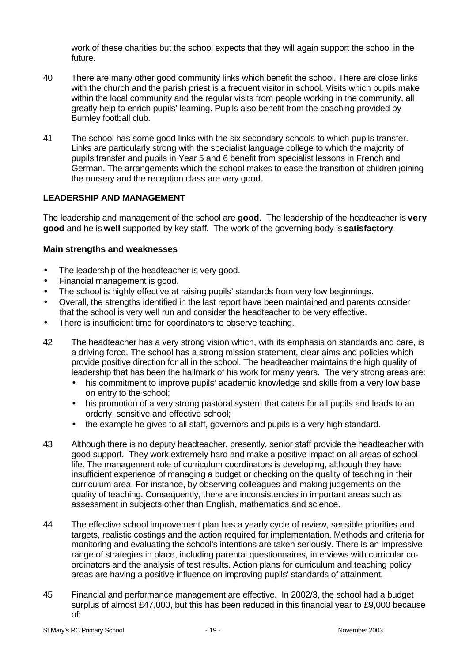work of these charities but the school expects that they will again support the school in the future.

- 40 There are many other good community links which benefit the school. There are close links with the church and the parish priest is a frequent visitor in school. Visits which pupils make within the local community and the regular visits from people working in the community, all greatly help to enrich pupils' learning. Pupils also benefit from the coaching provided by Burnley football club.
- 41 The school has some good links with the six secondary schools to which pupils transfer. Links are particularly strong with the specialist language college to which the majority of pupils transfer and pupils in Year 5 and 6 benefit from specialist lessons in French and German. The arrangements which the school makes to ease the transition of children joining the nursery and the reception class are very good.

#### **LEADERSHIP AND MANAGEMENT**

The leadership and management of the school are **good**. The leadership of the headteacher is **very good** and he is **well** supported by key staff. The work of the governing body is **satisfactory**.

#### **Main strengths and weaknesses**

- The leadership of the headteacher is very good.
- Financial management is good.
- The school is highly effective at raising pupils' standards from very low beginnings.
- Overall, the strengths identified in the last report have been maintained and parents consider that the school is very well run and consider the headteacher to be very effective.
- There is insufficient time for coordinators to observe teaching.
- 42 The headteacher has a very strong vision which, with its emphasis on standards and care, is a driving force. The school has a strong mission statement, clear aims and policies which provide positive direction for all in the school. The headteacher maintains the high quality of leadership that has been the hallmark of his work for many years. The very strong areas are:
	- his commitment to improve pupils' academic knowledge and skills from a very low base on entry to the school;
	- his promotion of a very strong pastoral system that caters for all pupils and leads to an orderly, sensitive and effective school;
	- the example he gives to all staff, governors and pupils is a very high standard.
- 43 Although there is no deputy headteacher, presently, senior staff provide the headteacher with good support. They work extremely hard and make a positive impact on all areas of school life. The management role of curriculum coordinators is developing, although they have insufficient experience of managing a budget or checking on the quality of teaching in their curriculum area. For instance, by observing colleagues and making judgements on the quality of teaching. Consequently, there are inconsistencies in important areas such as assessment in subjects other than English, mathematics and science.
- 44 The effective school improvement plan has a yearly cycle of review, sensible priorities and targets, realistic costings and the action required for implementation. Methods and criteria for monitoring and evaluating the school's intentions are taken seriously. There is an impressive range of strategies in place, including parental questionnaires, interviews with curricular coordinators and the analysis of test results. Action plans for curriculum and teaching policy areas are having a positive influence on improving pupils' standards of attainment.
- 45 Financial and performance management are effective. In 2002/3, the school had a budget surplus of almost £47,000, but this has been reduced in this financial year to £9,000 because of: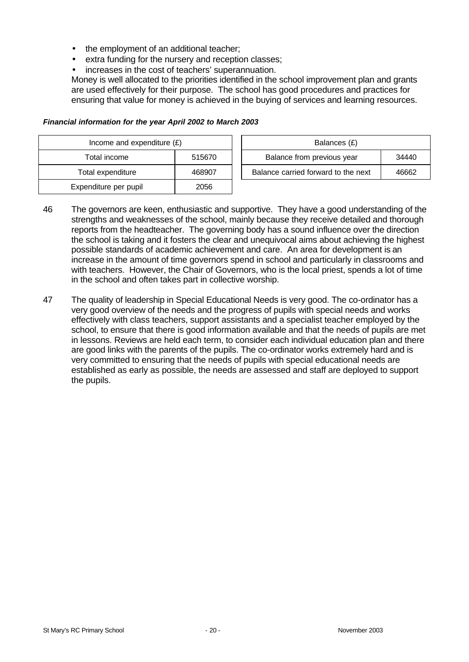- the employment of an additional teacher;
- extra funding for the nursery and reception classes;
- increases in the cost of teachers' superannuation.

Money is well allocated to the priorities identified in the school improvement plan and grants are used effectively for their purpose. The school has good procedures and practices for ensuring that value for money is achieved in the buying of services and learning resources.

#### *Financial information for the year April 2002 to March 2003*

| Income and expenditure $(E)$ | Balances (£) |                                |
|------------------------------|--------------|--------------------------------|
| Total income                 | 515670       | Balance from previous year     |
| Total expenditure            | 468907       | Balance carried forward to the |
| Expenditure per pupil        | 2056         |                                |

| Income and expenditure $(E)$ |        | Balances (£)                        |       |
|------------------------------|--------|-------------------------------------|-------|
| Total income                 | 515670 | Balance from previous year<br>34440 |       |
| Total expenditure            | 468907 | Balance carried forward to the next | 46662 |
|                              |        |                                     |       |

- 46 The governors are keen, enthusiastic and supportive. They have a good understanding of the strengths and weaknesses of the school, mainly because they receive detailed and thorough reports from the headteacher. The governing body has a sound influence over the direction the school is taking and it fosters the clear and unequivocal aims about achieving the highest possible standards of academic achievement and care. An area for development is an increase in the amount of time governors spend in school and particularly in classrooms and with teachers. However, the Chair of Governors, who is the local priest, spends a lot of time in the school and often takes part in collective worship.
- 47 The quality of leadership in Special Educational Needs is very good. The co-ordinator has a very good overview of the needs and the progress of pupils with special needs and works effectively with class teachers, support assistants and a specialist teacher employed by the school, to ensure that there is good information available and that the needs of pupils are met in lessons. Reviews are held each term, to consider each individual education plan and there are good links with the parents of the pupils. The co-ordinator works extremely hard and is very committed to ensuring that the needs of pupils with special educational needs are established as early as possible, the needs are assessed and staff are deployed to support the pupils.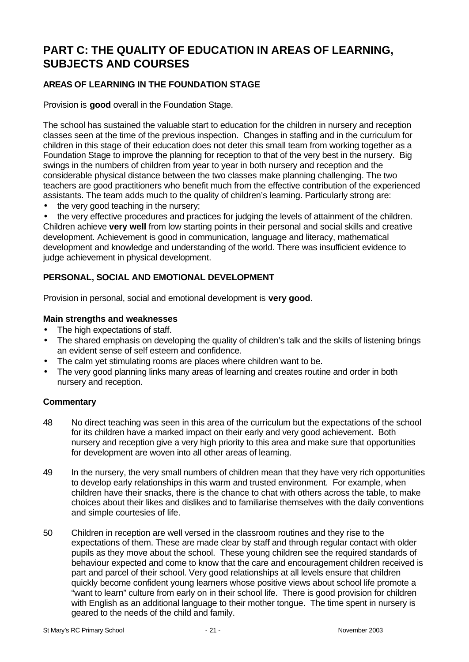# **PART C: THE QUALITY OF EDUCATION IN AREAS OF LEARNING, SUBJECTS AND COURSES**

# **AREAS OF LEARNING IN THE FOUNDATION STAGE**

Provision is **good** overall in the Foundation Stage.

The school has sustained the valuable start to education for the children in nursery and reception classes seen at the time of the previous inspection. Changes in staffing and in the curriculum for children in this stage of their education does not deter this small team from working together as a Foundation Stage to improve the planning for reception to that of the very best in the nursery. Big swings in the numbers of children from year to year in both nursery and reception and the considerable physical distance between the two classes make planning challenging. The two teachers are good practitioners who benefit much from the effective contribution of the experienced assistants. The team adds much to the quality of children's learning. Particularly strong are:

- the very good teaching in the nursery;
- the very effective procedures and practices for judging the levels of attainment of the children.

Children achieve **very well** from low starting points in their personal and social skills and creative development. Achievement is good in communication, language and literacy, mathematical development and knowledge and understanding of the world. There was insufficient evidence to judge achievement in physical development.

## **PERSONAL, SOCIAL AND EMOTIONAL DEVELOPMENT**

Provision in personal, social and emotional development is **very good**.

#### **Main strengths and weaknesses**

- The high expectations of staff.
- The shared emphasis on developing the quality of children's talk and the skills of listening brings an evident sense of self esteem and confidence.
- The calm yet stimulating rooms are places where children want to be.
- The very good planning links many areas of learning and creates routine and order in both nursery and reception.

- 48 No direct teaching was seen in this area of the curriculum but the expectations of the school for its children have a marked impact on their early and very good achievement. Both nursery and reception give a very high priority to this area and make sure that opportunities for development are woven into all other areas of learning.
- 49 In the nursery, the very small numbers of children mean that they have very rich opportunities to develop early relationships in this warm and trusted environment. For example, when children have their snacks, there is the chance to chat with others across the table, to make choices about their likes and dislikes and to familiarise themselves with the daily conventions and simple courtesies of life.
- 50 Children in reception are well versed in the classroom routines and they rise to the expectations of them. These are made clear by staff and through regular contact with older pupils as they move about the school. These young children see the required standards of behaviour expected and come to know that the care and encouragement children received is part and parcel of their school. Very good relationships at all levels ensure that children quickly become confident young learners whose positive views about school life promote a "want to learn" culture from early on in their school life. There is good provision for children with English as an additional language to their mother tongue. The time spent in nursery is geared to the needs of the child and family.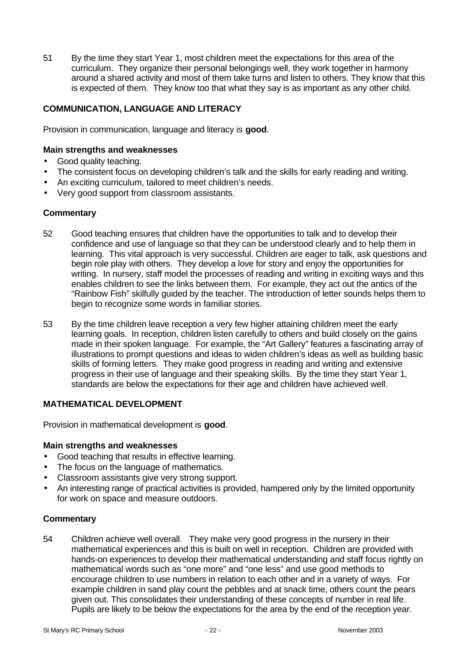51 By the time they start Year 1, most children meet the expectations for this area of the curriculum. They organize their personal belongings well, they work together in harmony around a shared activity and most of them take turns and listen to others. They know that this is expected of them. They know too that what they say is as important as any other child.

## **COMMUNICATION, LANGUAGE AND LITERACY**

Provision in communication, language and literacy is **good**.

#### **Main strengths and weaknesses**

- Good quality teaching.
- The consistent focus on developing children's talk and the skills for early reading and writing.
- An exciting curriculum, tailored to meet children's needs.
- Very good support from classroom assistants.

#### **Commentary**

- 52 Good teaching ensures that children have the opportunities to talk and to develop their confidence and use of language so that they can be understood clearly and to help them in learning. This vital approach is very successful. Children are eager to talk, ask questions and begin role play with others. They develop a love for story and enjoy the opportunities for writing. In nursery, staff model the processes of reading and writing in exciting ways and this enables children to see the links between them. For example, they act out the antics of the "Rainbow Fish" skilfully guided by the teacher. The introduction of letter sounds helps them to begin to recognize some words in familiar stories.
- 53 By the time children leave reception a very few higher attaining children meet the early learning goals. In reception, children listen carefully to others and build closely on the gains made in their spoken language. For example, the "Art Gallery" features a fascinating array of illustrations to prompt questions and ideas to widen children's ideas as well as building basic skills of forming letters. They make good progress in reading and writing and extensive progress in their use of language and their speaking skills. By the time they start Year 1, standards are below the expectations for their age and children have achieved well.

#### **MATHEMATICAL DEVELOPMENT**

Provision in mathematical development is **good**.

#### **Main strengths and weaknesses**

- Good teaching that results in effective learning.
- The focus on the language of mathematics.
- Classroom assistants give very strong support.
- An interesting range of practical activities is provided, hampered only by the limited opportunity for work on space and measure outdoors.

#### **Commentary**

54 Children achieve well overall. They make very good progress in the nursery in their mathematical experiences and this is built on well in reception. Children are provided with hands-on experiences to develop their mathematical understanding and staff focus rightly on mathematical words such as "one more" and "one less" and use good methods to encourage children to use numbers in relation to each other and in a variety of ways. For example children in sand play count the pebbles and at snack time, others count the pears given out. This consolidates their understanding of these concepts of number in real life. Pupils are likely to be below the expectations for the area by the end of the reception year.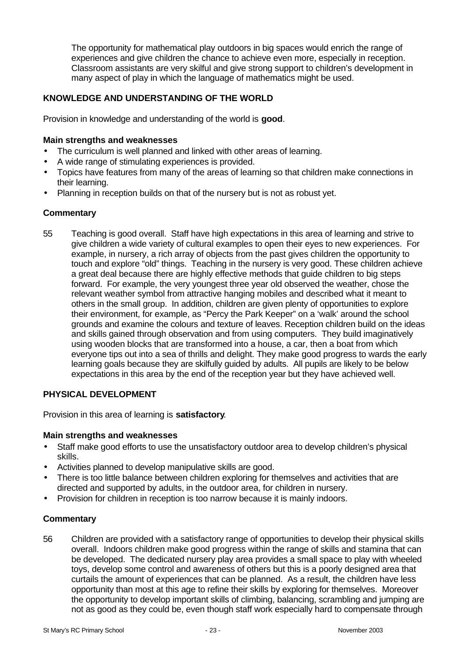The opportunity for mathematical play outdoors in big spaces would enrich the range of experiences and give children the chance to achieve even more, especially in reception. Classroom assistants are very skilful and give strong support to children's development in many aspect of play in which the language of mathematics might be used.

# **KNOWLEDGE AND UNDERSTANDING OF THE WORLD**

Provision in knowledge and understanding of the world is **good**.

#### **Main strengths and weaknesses**

- The curriculum is well planned and linked with other areas of learning.
- A wide range of stimulating experiences is provided.
- Topics have features from many of the areas of learning so that children make connections in their learning.
- Planning in reception builds on that of the nursery but is not as robust yet.

## **Commentary**

55 Teaching is good overall. Staff have high expectations in this area of learning and strive to give children a wide variety of cultural examples to open their eyes to new experiences. For example, in nursery, a rich array of objects from the past gives children the opportunity to touch and explore "old" things. Teaching in the nursery is very good. These children achieve a great deal because there are highly effective methods that guide children to big steps forward. For example, the very youngest three year old observed the weather, chose the relevant weather symbol from attractive hanging mobiles and described what it meant to others in the small group. In addition, children are given plenty of opportunities to explore their environment, for example, as "Percy the Park Keeper" on a 'walk' around the school grounds and examine the colours and texture of leaves. Reception children build on the ideas and skills gained through observation and from using computers. They build imaginatively using wooden blocks that are transformed into a house, a car, then a boat from which everyone tips out into a sea of thrills and delight. They make good progress to wards the early learning goals because they are skilfully guided by adults. All pupils are likely to be below expectations in this area by the end of the reception year but they have achieved well.

# **PHYSICAL DEVELOPMENT**

Provision in this area of learning is **satisfactory**.

#### **Main strengths and weaknesses**

- Staff make good efforts to use the unsatisfactory outdoor area to develop children's physical skills.
- Activities planned to develop manipulative skills are good.
- There is too little balance between children exploring for themselves and activities that are directed and supported by adults, in the outdoor area, for children in nursery.
- Provision for children in reception is too narrow because it is mainly indoors.

# **Commentary**

56 Children are provided with a satisfactory range of opportunities to develop their physical skills overall. Indoors children make good progress within the range of skills and stamina that can be developed. The dedicated nursery play area provides a small space to play with wheeled toys, develop some control and awareness of others but this is a poorly designed area that curtails the amount of experiences that can be planned. As a result, the children have less opportunity than most at this age to refine their skills by exploring for themselves. Moreover the opportunity to develop important skills of climbing, balancing, scrambling and jumping are not as good as they could be, even though staff work especially hard to compensate through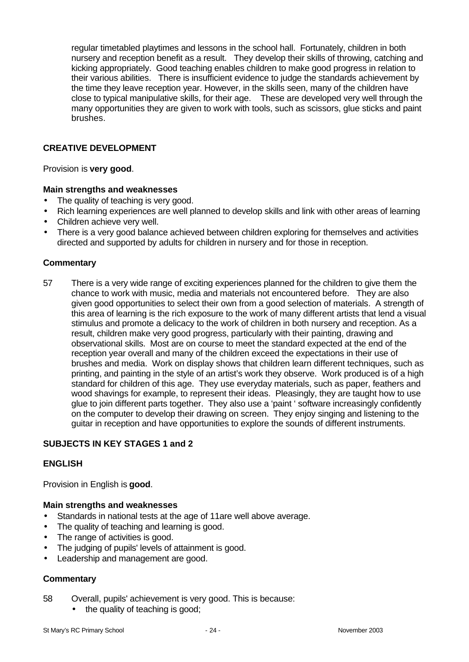regular timetabled playtimes and lessons in the school hall. Fortunately, children in both nursery and reception benefit as a result. They develop their skills of throwing, catching and kicking appropriately. Good teaching enables children to make good progress in relation to their various abilities. There is insufficient evidence to judge the standards achievement by the time they leave reception year. However, in the skills seen, many of the children have close to typical manipulative skills, for their age. These are developed very well through the many opportunities they are given to work with tools, such as scissors, glue sticks and paint brushes.

# **CREATIVE DEVELOPMENT**

Provision is **very good**.

## **Main strengths and weaknesses**

- The quality of teaching is very good.
- Rich learning experiences are well planned to develop skills and link with other areas of learning
- Children achieve very well.
- There is a very good balance achieved between children exploring for themselves and activities directed and supported by adults for children in nursery and for those in reception.

#### **Commentary**

57 There is a very wide range of exciting experiences planned for the children to give them the chance to work with music, media and materials not encountered before. They are also given good opportunities to select their own from a good selection of materials. A strength of this area of learning is the rich exposure to the work of many different artists that lend a visual stimulus and promote a delicacy to the work of children in both nursery and reception. As a result, children make very good progress, particularly with their painting, drawing and observational skills. Most are on course to meet the standard expected at the end of the reception year overall and many of the children exceed the expectations in their use of brushes and media. Work on display shows that children learn different techniques, such as printing, and painting in the style of an artist's work they observe. Work produced is of a high standard for children of this age. They use everyday materials, such as paper, feathers and wood shavings for example, to represent their ideas. Pleasingly, they are taught how to use glue to join different parts together. They also use a 'paint ' software increasingly confidently on the computer to develop their drawing on screen. They enjoy singing and listening to the guitar in reception and have opportunities to explore the sounds of different instruments.

#### **SUBJECTS IN KEY STAGES 1 and 2**

# **ENGLISH**

Provision in English is **good**.

#### **Main strengths and weaknesses**

- Standards in national tests at the age of 11are well above average.
- The quality of teaching and learning is good.
- The range of activities is good.
- The judging of pupils' levels of attainment is good.
- Leadership and management are good.

- 58 Overall, pupils' achievement is very good. This is because:
	- the quality of teaching is good;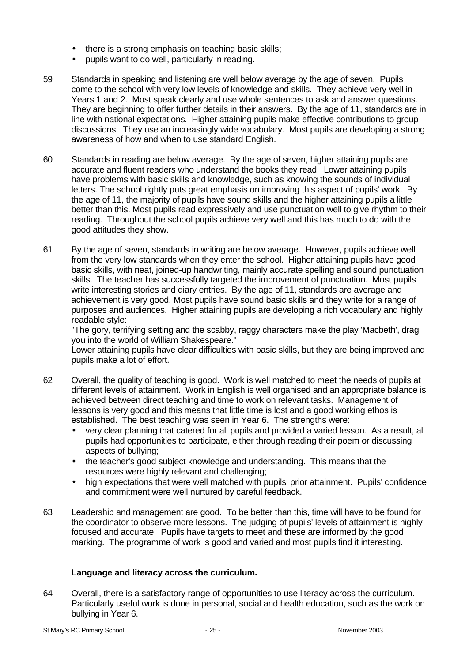- there is a strong emphasis on teaching basic skills;
- pupils want to do well, particularly in reading.
- 59 Standards in speaking and listening are well below average by the age of seven. Pupils come to the school with very low levels of knowledge and skills. They achieve very well in Years 1 and 2. Most speak clearly and use whole sentences to ask and answer questions. They are beginning to offer further details in their answers. By the age of 11, standards are in line with national expectations. Higher attaining pupils make effective contributions to group discussions. They use an increasingly wide vocabulary. Most pupils are developing a strong awareness of how and when to use standard English.
- 60 Standards in reading are below average. By the age of seven, higher attaining pupils are accurate and fluent readers who understand the books they read. Lower attaining pupils have problems with basic skills and knowledge, such as knowing the sounds of individual letters. The school rightly puts great emphasis on improving this aspect of pupils' work. By the age of 11, the majority of pupils have sound skills and the higher attaining pupils a little better than this. Most pupils read expressively and use punctuation well to give rhythm to their reading. Throughout the school pupils achieve very well and this has much to do with the good attitudes they show.
- 61 By the age of seven, standards in writing are below average. However, pupils achieve well from the very low standards when they enter the school. Higher attaining pupils have good basic skills, with neat, joined-up handwriting, mainly accurate spelling and sound punctuation skills. The teacher has successfully targeted the improvement of punctuation. Most pupils write interesting stories and diary entries. By the age of 11, standards are average and achievement is very good. Most pupils have sound basic skills and they write for a range of purposes and audiences. Higher attaining pupils are developing a rich vocabulary and highly readable style:

"The gory, terrifying setting and the scabby, raggy characters make the play 'Macbeth', drag you into the world of William Shakespeare."

Lower attaining pupils have clear difficulties with basic skills, but they are being improved and pupils make a lot of effort.

- 62 Overall, the quality of teaching is good. Work is well matched to meet the needs of pupils at different levels of attainment. Work in English is well organised and an appropriate balance is achieved between direct teaching and time to work on relevant tasks. Management of lessons is very good and this means that little time is lost and a good working ethos is established. The best teaching was seen in Year 6. The strengths were:
	- very clear planning that catered for all pupils and provided a varied lesson. As a result, all pupils had opportunities to participate, either through reading their poem or discussing aspects of bullying;
	- the teacher's good subject knowledge and understanding. This means that the resources were highly relevant and challenging;
	- high expectations that were well matched with pupils' prior attainment. Pupils' confidence and commitment were well nurtured by careful feedback.
- 63 Leadership and management are good. To be better than this, time will have to be found for the coordinator to observe more lessons. The judging of pupils' levels of attainment is highly focused and accurate. Pupils have targets to meet and these are informed by the good marking. The programme of work is good and varied and most pupils find it interesting.

#### **Language and literacy across the curriculum.**

64 Overall, there is a satisfactory range of opportunities to use literacy across the curriculum. Particularly useful work is done in personal, social and health education, such as the work on bullying in Year 6.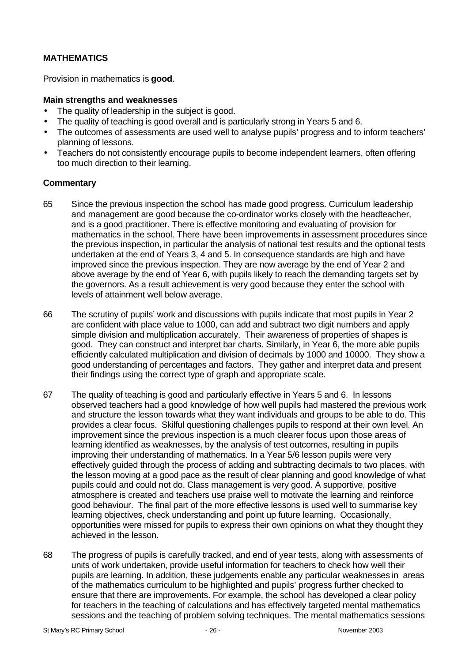# **MATHEMATICS**

Provision in mathematics is **good**.

#### **Main strengths and weaknesses**

- The quality of leadership in the subject is good.
- The quality of teaching is good overall and is particularly strong in Years 5 and 6.
- The outcomes of assessments are used well to analyse pupils' progress and to inform teachers' planning of lessons.
- Teachers do not consistently encourage pupils to become independent learners, often offering too much direction to their learning.

- 65 Since the previous inspection the school has made good progress. Curriculum leadership and management are good because the co-ordinator works closely with the headteacher, and is a good practitioner. There is effective monitoring and evaluating of provision for mathematics in the school. There have been improvements in assessment procedures since the previous inspection, in particular the analysis of national test results and the optional tests undertaken at the end of Years 3, 4 and 5. In consequence standards are high and have improved since the previous inspection. They are now average by the end of Year 2 and above average by the end of Year 6, with pupils likely to reach the demanding targets set by the governors. As a result achievement is very good because they enter the school with levels of attainment well below average.
- 66 The scrutiny of pupils' work and discussions with pupils indicate that most pupils in Year 2 are confident with place value to 1000, can add and subtract two digit numbers and apply simple division and multiplication accurately. Their awareness of properties of shapes is good. They can construct and interpret bar charts. Similarly, in Year 6, the more able pupils efficiently calculated multiplication and division of decimals by 1000 and 10000. They show a good understanding of percentages and factors. They gather and interpret data and present their findings using the correct type of graph and appropriate scale.
- 67 The quality of teaching is good and particularly effective in Years 5 and 6. In lessons observed teachers had a good knowledge of how well pupils had mastered the previous work and structure the lesson towards what they want individuals and groups to be able to do. This provides a clear focus. Skilful questioning challenges pupils to respond at their own level. An improvement since the previous inspection is a much clearer focus upon those areas of learning identified as weaknesses, by the analysis of test outcomes, resulting in pupils improving their understanding of mathematics. In a Year 5/6 lesson pupils were very effectively guided through the process of adding and subtracting decimals to two places, with the lesson moving at a good pace as the result of clear planning and good knowledge of what pupils could and could not do. Class management is very good. A supportive, positive atmosphere is created and teachers use praise well to motivate the learning and reinforce good behaviour. The final part of the more effective lessons is used well to summarise key learning objectives, check understanding and point up future learning. Occasionally, opportunities were missed for pupils to express their own opinions on what they thought they achieved in the lesson.
- 68 The progress of pupils is carefully tracked, and end of year tests, along with assessments of units of work undertaken, provide useful information for teachers to check how well their pupils are learning. In addition, these judgements enable any particular weaknesses in areas of the mathematics curriculum to be highlighted and pupils' progress further checked to ensure that there are improvements. For example, the school has developed a clear policy for teachers in the teaching of calculations and has effectively targeted mental mathematics sessions and the teaching of problem solving techniques. The mental mathematics sessions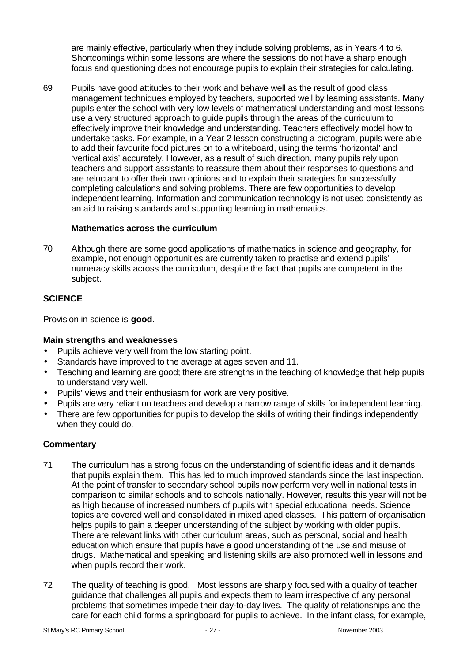are mainly effective, particularly when they include solving problems, as in Years 4 to 6. Shortcomings within some lessons are where the sessions do not have a sharp enough focus and questioning does not encourage pupils to explain their strategies for calculating.

69 Pupils have good attitudes to their work and behave well as the result of good class management techniques employed by teachers, supported well by learning assistants. Many pupils enter the school with very low levels of mathematical understanding and most lessons use a very structured approach to guide pupils through the areas of the curriculum to effectively improve their knowledge and understanding. Teachers effectively model how to undertake tasks. For example, in a Year 2 lesson constructing a pictogram, pupils were able to add their favourite food pictures on to a whiteboard, using the terms 'horizontal' and 'vertical axis' accurately. However, as a result of such direction, many pupils rely upon teachers and support assistants to reassure them about their responses to questions and are reluctant to offer their own opinions and to explain their strategies for successfully completing calculations and solving problems. There are few opportunities to develop independent learning. Information and communication technology is not used consistently as an aid to raising standards and supporting learning in mathematics.

## **Mathematics across the curriculum**

70 Although there are some good applications of mathematics in science and geography, for example, not enough opportunities are currently taken to practise and extend pupils' numeracy skills across the curriculum, despite the fact that pupils are competent in the subject.

# **SCIENCE**

Provision in science is **good**.

# **Main strengths and weaknesses**

- Pupils achieve very well from the low starting point.
- Standards have improved to the average at ages seven and 11.
- Teaching and learning are good; there are strengths in the teaching of knowledge that help pupils to understand very well.
- Pupils' views and their enthusiasm for work are very positive.
- Pupils are very reliant on teachers and develop a narrow range of skills for independent learning.
- There are few opportunities for pupils to develop the skills of writing their findings independently when they could do.

- 71 The curriculum has a strong focus on the understanding of scientific ideas and it demands that pupils explain them. This has led to much improved standards since the last inspection. At the point of transfer to secondary school pupils now perform very well in national tests in comparison to similar schools and to schools nationally. However, results this year will not be as high because of increased numbers of pupils with special educational needs. Science topics are covered well and consolidated in mixed aged classes. This pattern of organisation helps pupils to gain a deeper understanding of the subject by working with older pupils. There are relevant links with other curriculum areas*,* such as personal, social and health education which ensure that pupils have a good understanding of the use and misuse of drugs. Mathematical and speaking and listening skills are also promoted well in lessons and when pupils record their work.
- 72 The quality of teaching is good. Most lessons are sharply focused with a quality of teacher guidance that challenges all pupils and expects them to learn irrespective of any personal problems that sometimes impede their day-to-day lives. The quality of relationships and the care for each child forms a springboard for pupils to achieve. In the infant class, for example,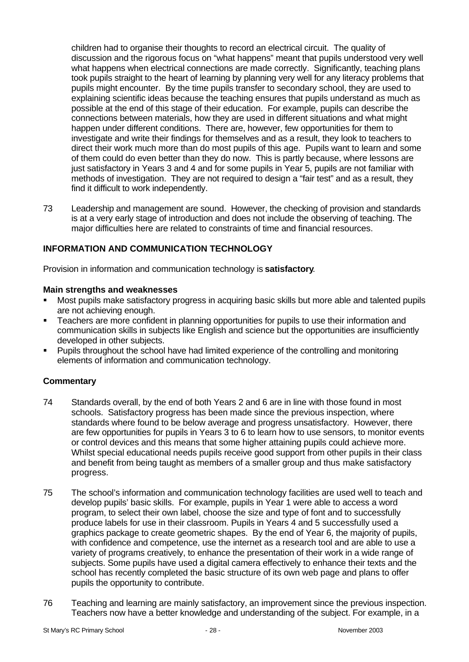children had to organise their thoughts to record an electrical circuit. The quality of discussion and the rigorous focus on "what happens" meant that pupils understood very well what happens when electrical connections are made correctly. Significantly, teaching plans took pupils straight to the heart of learning by planning very well for any literacy problems that pupils might encounter. By the time pupils transfer to secondary school, they are used to explaining scientific ideas because the teaching ensures that pupils understand as much as possible at the end of this stage of their education. For example, pupils can describe the connections between materials, how they are used in different situations and what might happen under different conditions. There are, however, few opportunities for them to investigate and write their findings for themselves and as a result, they look to teachers to direct their work much more than do most pupils of this age. Pupils want to learn and some of them could do even better than they do now. This is partly because, where lessons are just satisfactory in Years 3 and 4 and for some pupils in Year 5, pupils are not familiar with methods of investigation. They are not required to design a "fair test" and as a result, they find it difficult to work independently.

73 Leadership and management are sound. However, the checking of provision and standards is at a very early stage of introduction and does not include the observing of teaching. The major difficulties here are related to constraints of time and financial resources.

# **INFORMATION AND COMMUNICATION TECHNOLOGY**

Provision in information and communication technology is **satisfactory**.

#### **Main strengths and weaknesses**

- ß Most pupils make satisfactory progress in acquiring basic skills but more able and talented pupils are not achieving enough.
- ß Teachers are more confident in planning opportunities for pupils to use their information and communication skills in subjects like English and science but the opportunities are insufficiently developed in other subjects.
- ß Pupils throughout the school have had limited experience of the controlling and monitoring elements of information and communication technology.

- 74 Standards overall, by the end of both Years 2 and 6 are in line with those found in most schools. Satisfactory progress has been made since the previous inspection, where standards where found to be below average and progress unsatisfactory. However, there are few opportunities for pupils in Years 3 to 6 to learn how to use sensors, to monitor events or control devices and this means that some higher attaining pupils could achieve more. Whilst special educational needs pupils receive good support from other pupils in their class and benefit from being taught as members of a smaller group and thus make satisfactory progress.
- 75 The school's information and communication technology facilities are used well to teach and develop pupils' basic skills. For example, pupils in Year 1 were able to access a word program, to select their own label, choose the size and type of font and to successfully produce labels for use in their classroom. Pupils in Years 4 and 5 successfully used a graphics package to create geometric shapes. By the end of Year 6, the majority of pupils, with confidence and competence, use the internet as a research tool and are able to use a variety of programs creatively, to enhance the presentation of their work in a wide range of subjects. Some pupils have used a digital camera effectively to enhance their texts and the school has recently completed the basic structure of its own web page and plans to offer pupils the opportunity to contribute.
- 76 Teaching and learning are mainly satisfactory, an improvement since the previous inspection. Teachers now have a better knowledge and understanding of the subject. For example, in a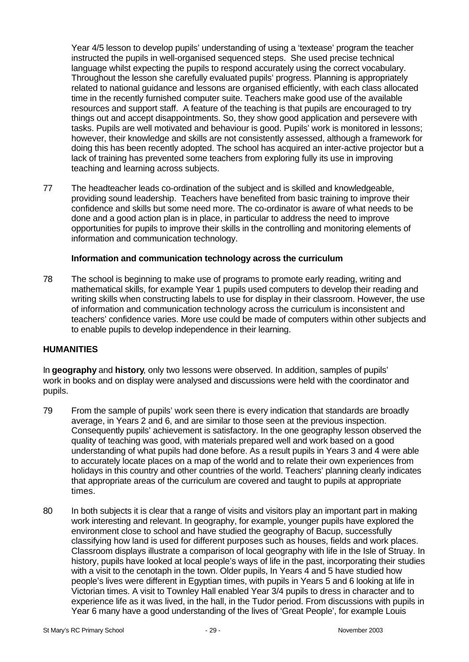Year 4/5 lesson to develop pupils' understanding of using a 'textease' program the teacher instructed the pupils in well-organised sequenced steps. She used precise technical language whilst expecting the pupils to respond accurately using the correct vocabulary. Throughout the lesson she carefully evaluated pupils' progress. Planning is appropriately related to national guidance and lessons are organised efficiently, with each class allocated time in the recently furnished computer suite. Teachers make good use of the available resources and support staff. A feature of the teaching is that pupils are encouraged to try things out and accept disappointments. So, they show good application and persevere with tasks. Pupils are well motivated and behaviour is good. Pupils' work is monitored in lessons; however, their knowledge and skills are not consistently assessed, although a framework for doing this has been recently adopted. The school has acquired an inter-active projector but a lack of training has prevented some teachers from exploring fully its use in improving teaching and learning across subjects.

77 The headteacher leads co-ordination of the subject and is skilled and knowledgeable, providing sound leadership. Teachers have benefited from basic training to improve their confidence and skills but some need more. The co-ordinator is aware of what needs to be done and a good action plan is in place, in particular to address the need to improve opportunities for pupils to improve their skills in the controlling and monitoring elements of information and communication technology.

#### **Information and communication technology across the curriculum**

78 The school is beginning to make use of programs to promote early reading, writing and mathematical skills, for example Year 1 pupils used computers to develop their reading and writing skills when constructing labels to use for display in their classroom. However, the use of information and communication technology across the curriculum is inconsistent and teachers' confidence varies. More use could be made of computers within other subjects and to enable pupils to develop independence in their learning.

#### **HUMANITIES**

In **geography** and **history**, only two lessons were observed. In addition, samples of pupils' work in books and on display were analysed and discussions were held with the coordinator and pupils.

- 79 From the sample of pupils' work seen there is every indication that standards are broadly average, in Years 2 and 6, and are similar to those seen at the previous inspection. Consequently pupils' achievement is satisfactory. In the one geography lesson observed the quality of teaching was good, with materials prepared well and work based on a good understanding of what pupils had done before. As a result pupils in Years 3 and 4 were able to accurately locate places on a map of the world and to relate their own experiences from holidays in this country and other countries of the world. Teachers' planning clearly indicates that appropriate areas of the curriculum are covered and taught to pupils at appropriate times.
- 80 In both subjects it is clear that a range of visits and visitors play an important part in making work interesting and relevant. In geography, for example, younger pupils have explored the environment close to school and have studied the geography of Bacup, successfully classifying how land is used for different purposes such as houses, fields and work places. Classroom displays illustrate a comparison of local geography with life in the Isle of Struay. In history, pupils have looked at local people's ways of life in the past, incorporating their studies with a visit to the cenotaph in the town. Older pupils, In Years 4 and 5 have studied how people's lives were different in Egyptian times, with pupils in Years 5 and 6 looking at life in Victorian times. A visit to Townley Hall enabled Year 3/4 pupils to dress in character and to experience life as it was lived, in the hall, in the Tudor period. From discussions with pupils in Year 6 many have a good understanding of the lives of 'Great People', for example Louis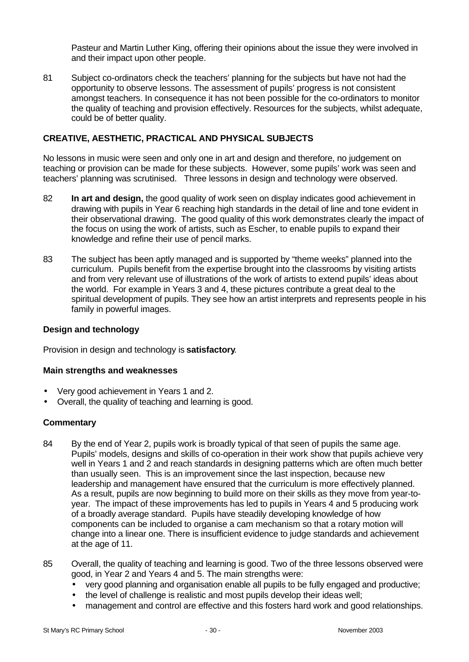Pasteur and Martin Luther King, offering their opinions about the issue they were involved in and their impact upon other people.

81 Subject co-ordinators check the teachers' planning for the subjects but have not had the opportunity to observe lessons. The assessment of pupils' progress is not consistent amongst teachers. In consequence it has not been possible for the co-ordinators to monitor the quality of teaching and provision effectively. Resources for the subjects, whilst adequate, could be of better quality.

## **CREATIVE, AESTHETIC, PRACTICAL AND PHYSICAL SUBJECTS**

No lessons in music were seen and only one in art and design and therefore, no judgement on teaching or provision can be made for these subjects. However, some pupils' work was seen and teachers' planning was scrutinised. Three lessons in design and technology were observed.

- 82 **In art and design,** the good quality of work seen on display indicates good achievement in drawing with pupils in Year 6 reaching high standards in the detail of line and tone evident in their observational drawing. The good quality of this work demonstrates clearly the impact of the focus on using the work of artists, such as Escher, to enable pupils to expand their knowledge and refine their use of pencil marks.
- 83 The subject has been aptly managed and is supported by "theme weeks" planned into the curriculum. Pupils benefit from the expertise brought into the classrooms by visiting artists and from very relevant use of illustrations of the work of artists to extend pupils' ideas about the world. For example in Years 3 and 4, these pictures contribute a great deal to the spiritual development of pupils. They see how an artist interprets and represents people in his family in powerful images.

#### **Design and technology**

Provision in design and technology is **satisfactory**.

#### **Main strengths and weaknesses**

- Very good achievement in Years 1 and 2.
- Overall, the quality of teaching and learning is good.

- 84 By the end of Year 2, pupils work is broadly typical of that seen of pupils the same age. Pupils' models, designs and skills of co-operation in their work show that pupils achieve very well in Years 1 and 2 and reach standards in designing patterns which are often much better than usually seen. This is an improvement since the last inspection, because new leadership and management have ensured that the curriculum is more effectively planned. As a result, pupils are now beginning to build more on their skills as they move from year-toyear. The impact of these improvements has led to pupils in Years 4 and 5 producing work of a broadly average standard. Pupils have steadily developing knowledge of how components can be included to organise a cam mechanism so that a rotary motion will change into a linear one. There is insufficient evidence to judge standards and achievement at the age of 11.
- 85 Overall, the quality of teaching and learning is good. Two of the three lessons observed were good, in Year 2 and Years 4 and 5. The main strengths were:
	- very good planning and organisation enable all pupils to be fully engaged and productive;
	- the level of challenge is realistic and most pupils develop their ideas well;
	- management and control are effective and this fosters hard work and good relationships.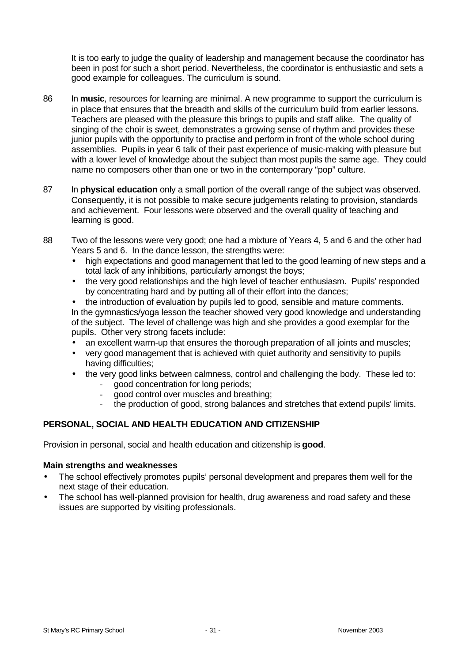It is too early to judge the quality of leadership and management because the coordinator has been in post for such a short period. Nevertheless, the coordinator is enthusiastic and sets a good example for colleagues. The curriculum is sound.

- 86 In **music**, resources for learning are minimal. A new programme to support the curriculum is in place that ensures that the breadth and skills of the curriculum build from earlier lessons. Teachers are pleased with the pleasure this brings to pupils and staff alike. The quality of singing of the choir is sweet, demonstrates a growing sense of rhythm and provides these junior pupils with the opportunity to practise and perform in front of the whole school during assemblies. Pupils in year 6 talk of their past experience of music-making with pleasure but with a lower level of knowledge about the subject than most pupils the same age. They could name no composers other than one or two in the contemporary "pop" culture.
- 87 In **physical education** only a small portion of the overall range of the subject was observed. Consequently, it is not possible to make secure judgements relating to provision, standards and achievement. Four lessons were observed and the overall quality of teaching and learning is good.
- 88 Two of the lessons were very good; one had a mixture of Years 4, 5 and 6 and the other had Years 5 and 6. In the dance lesson, the strengths were:
	- high expectations and good management that led to the good learning of new steps and a total lack of any inhibitions, particularly amongst the boys;
	- the very good relationships and the high level of teacher enthusiasm. Pupils' responded by concentrating hard and by putting all of their effort into the dances;
	- the introduction of evaluation by pupils led to good, sensible and mature comments. In the gymnastics/yoga lesson the teacher showed very good knowledge and understanding of the subject. The level of challenge was high and she provides a good exemplar for the pupils. Other very strong facets include:
	- an excellent warm-up that ensures the thorough preparation of all joints and muscles;
	- very good management that is achieved with quiet authority and sensitivity to pupils having difficulties;
	- the very good links between calmness, control and challenging the body. These led to:
		- good concentration for long periods;
		- good control over muscles and breathing;
		- the production of good, strong balances and stretches that extend pupils' limits.

# **PERSONAL, SOCIAL AND HEALTH EDUCATION AND CITIZENSHIP**

Provision in personal, social and health education and citizenship is **good**.

#### **Main strengths and weaknesses**

- The school effectively promotes pupils' personal development and prepares them well for the next stage of their education.
- The school has well-planned provision for health, drug awareness and road safety and these issues are supported by visiting professionals.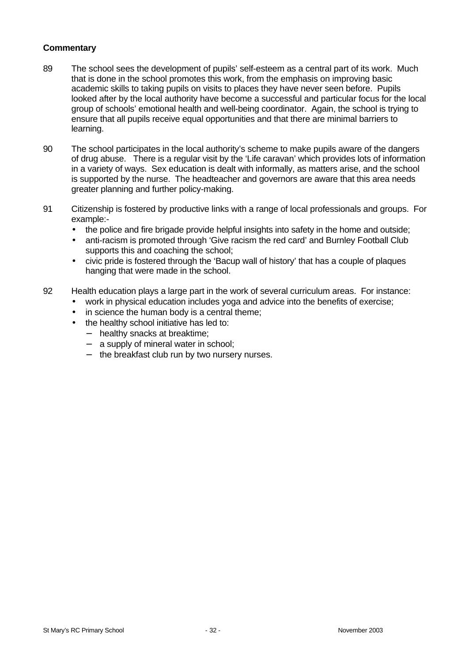- 89 The school sees the development of pupils' self-esteem as a central part of its work. Much that is done in the school promotes this work, from the emphasis on improving basic academic skills to taking pupils on visits to places they have never seen before. Pupils looked after by the local authority have become a successful and particular focus for the local group of schools' emotional health and well-being coordinator. Again, the school is trying to ensure that all pupils receive equal opportunities and that there are minimal barriers to learning.
- 90 The school participates in the local authority's scheme to make pupils aware of the dangers of drug abuse. There is a regular visit by the 'Life caravan' which provides lots of information in a variety of ways. Sex education is dealt with informally, as matters arise, and the school is supported by the nurse. The headteacher and governors are aware that this area needs greater planning and further policy-making.
- 91 Citizenship is fostered by productive links with a range of local professionals and groups. For example:-
	- the police and fire brigade provide helpful insights into safety in the home and outside;
	- anti-racism is promoted through 'Give racism the red card' and Burnley Football Club supports this and coaching the school;
	- civic pride is fostered through the 'Bacup wall of history' that has a couple of plaques hanging that were made in the school.
- 92 Health education plays a large part in the work of several curriculum areas. For instance:
	- work in physical education includes yoga and advice into the benefits of exercise;
	- in science the human body is a central theme;
	- the healthy school initiative has led to:
		- − healthy snacks at breaktime;
		- − a supply of mineral water in school;
		- − the breakfast club run by two nursery nurses.